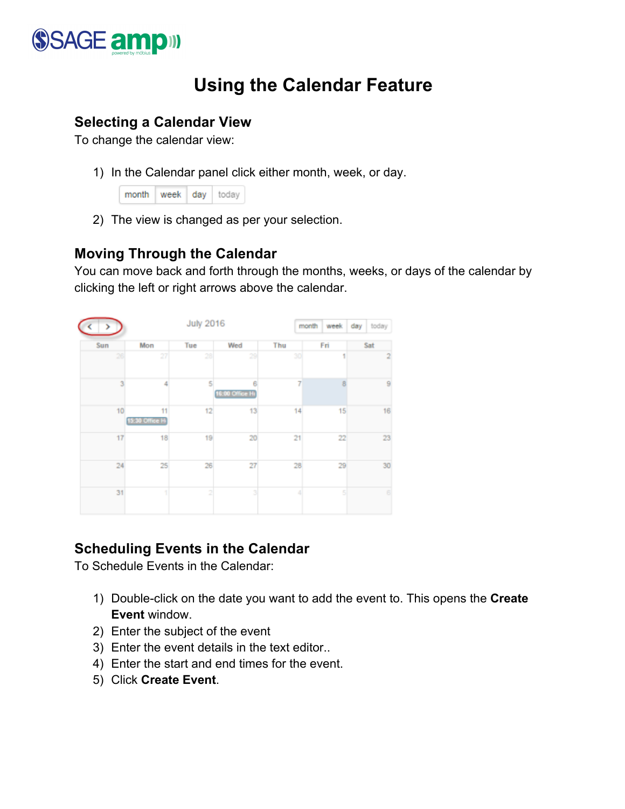

# **Using the Calendar Feature**

### **Selecting a Calendar View**

To change the calendar view:

1) In the Calendar panel click either month, week, or day.

| month   week   day   today |  |  |
|----------------------------|--|--|
|                            |  |  |

2) The view is changed as per your selection.

#### **Moving Through the Calendar**

You can move back and forth through the months, weeks, or days of the calendar by clicking the left or right arrows above the calendar.

|     |                       | <b>July 2016</b> |                         |                 | month<br>week | day<br>today   |
|-----|-----------------------|------------------|-------------------------|-----------------|---------------|----------------|
| Sun | Mon                   | Tue              | Wed                     | Thu             | Fri           | Sat            |
| 26  | 27                    | 28               | 29                      | 30 <sub>l</sub> |               | $\overline{2}$ |
| 3   | 4                     | 5                | 6<br>16:00 Office Hr    | 7               | R             | 9              |
| 10  | 11<br>15:30 Office Hi | 12               | 13                      | 14              | 15            | 16             |
| 17  | 18                    | 19               | 20                      | 21              | 22            | 23             |
| 24  | 25                    | 26               | 27                      | 28              | 29            | 30             |
| 31  | 1)                    | $\overline{2}$   | $\overline{\mathbf{3}}$ | 4               | 5             | 6              |

#### **Scheduling Events in the Calendar**

To Schedule Events in the Calendar:

- 1) Double-click on the date you want to add the event to. This opens the **Create Event** window.
- 2) Enter the subject of the event
- 3) Enter the event details in the text editor..
- 4) Enter the start and end times for the event.
- 5) Click **Create Event**.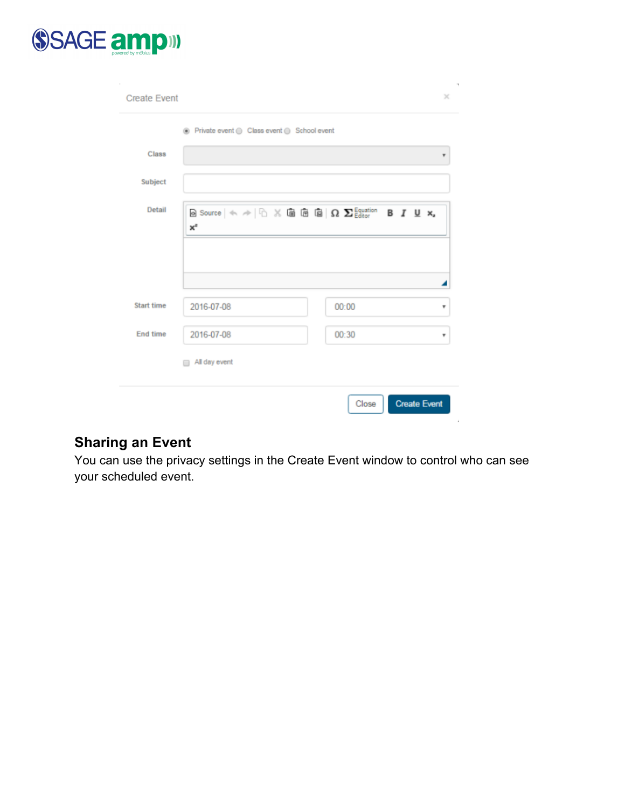

|                   |            | ◉ Private event ( Class event ( School event |       |   |
|-------------------|------------|----------------------------------------------|-------|---|
| Class             |            |                                              |       | ۳ |
| Subject           |            |                                              |       |   |
| Detail            | $x^z$      |                                              |       |   |
|                   |            |                                              |       |   |
|                   |            |                                              |       |   |
| <b>Start time</b> | 2016-07-08 |                                              | 00:00 | ۳ |
| End time          | 2016-07-08 |                                              | 00:30 | ۳ |
|                   |            |                                              |       |   |

# **Sharing an Event**

You can use the privacy settings in the Create Event window to control who can see your scheduled event.

 $\bar{z}$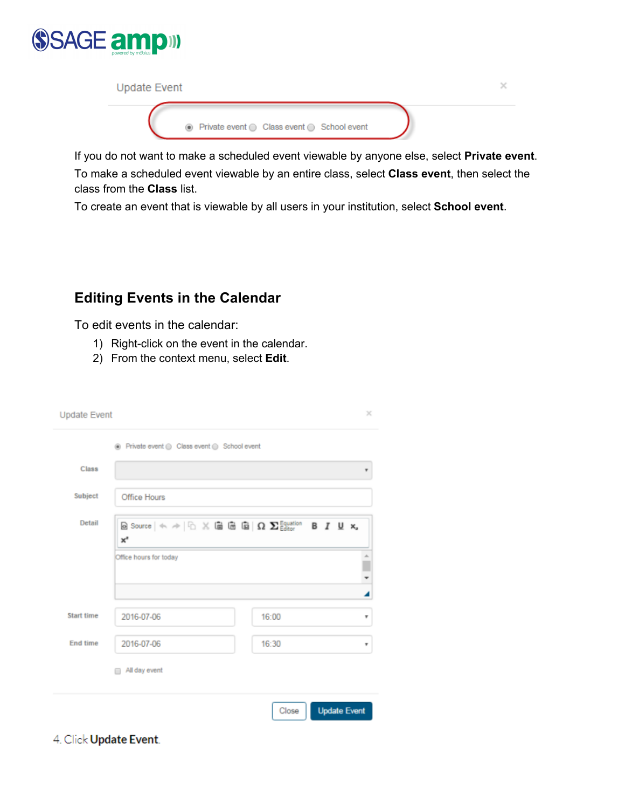

| <b>Update Event</b> |                                              |  |
|---------------------|----------------------------------------------|--|
|                     | ⊙ Private event ⊙ Class event ⊙ School event |  |

If you do not want to make a scheduled event viewable by anyone else, select **Private event**. To make a scheduled event viewable by an entire class, select **Class event**, then select the class from the **Class** list.

To create an event that is viewable by all users in your institution, select **School event**.

## **Editing Events in the Calendar**

To edit events in the calendar:

- 1) Right-click on the event in the calendar.
- 2) From the context menu, select **Edit**.

| <b>Update Event</b>                                                                                                                                                                                                               |                                                                                                                                                                                                                                              | $\times$                     |
|-----------------------------------------------------------------------------------------------------------------------------------------------------------------------------------------------------------------------------------|----------------------------------------------------------------------------------------------------------------------------------------------------------------------------------------------------------------------------------------------|------------------------------|
|                                                                                                                                                                                                                                   | ◉ Private event ⊜ Class event ⊜ School event                                                                                                                                                                                                 |                              |
| <b>Class</b>                                                                                                                                                                                                                      |                                                                                                                                                                                                                                              |                              |
| Subject                                                                                                                                                                                                                           | Office Hours                                                                                                                                                                                                                                 |                              |
| Detail                                                                                                                                                                                                                            | $\blacksquare$ Source $ \Leftrightarrow$ $\not\Rightarrow$ $ \Cuparrow\rangle$ $\times$ $\blacksquare$ $\blacksquare$ $\blacksquare$ $\blacksquare$ $\blacksquare$ $\Omega$ $\blacksquare$ $\blacksquare$<br>$x^z$<br>Office hours for today | B I U x,<br>÷<br>◢           |
| <b>Start time</b>                                                                                                                                                                                                                 | 2016-07-06                                                                                                                                                                                                                                   | 16:00<br>¥                   |
| End time                                                                                                                                                                                                                          | 2016-07-06<br>All day event                                                                                                                                                                                                                  | 16:30<br>v                   |
| $\lambda$ and the state of the state of the state of the state of the state of the state of the state of the state of the state of the state of the state of the state of the state of the state of the state of the state of the |                                                                                                                                                                                                                                              | <b>Update Event</b><br>Close |

4. Click Update Event.